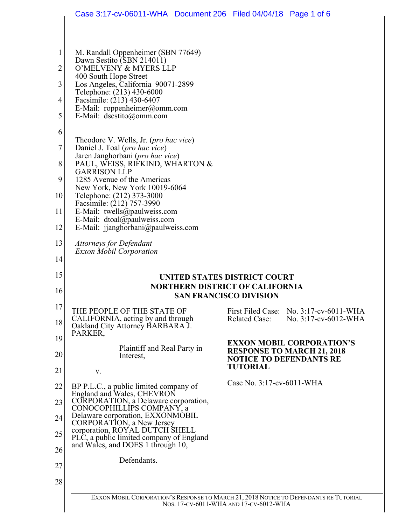|             | Case 3:17-cv-06011-WHA Document 206 Filed 04/04/18 Page 1 of 6                                                                  |                                                                                                  |  |  |  |  |  |  |
|-------------|---------------------------------------------------------------------------------------------------------------------------------|--------------------------------------------------------------------------------------------------|--|--|--|--|--|--|
|             |                                                                                                                                 |                                                                                                  |  |  |  |  |  |  |
| $\mathbf 1$ | M. Randall Oppenheimer (SBN 77649)                                                                                              |                                                                                                  |  |  |  |  |  |  |
| 2           | Dawn Sestito (SBN 214011)<br>O'MELVENY & MYERS LLP                                                                              |                                                                                                  |  |  |  |  |  |  |
| 3           | 400 South Hope Street<br>Los Angeles, California 90071-2899                                                                     |                                                                                                  |  |  |  |  |  |  |
| 4           | Telephone: (213) 430-6000<br>Facsimile: (213) 430-6407<br>E-Mail: roppenheimer@omm.com<br>E-Mail: dsestito@omm.com              |                                                                                                  |  |  |  |  |  |  |
| 5           |                                                                                                                                 |                                                                                                  |  |  |  |  |  |  |
| 6           |                                                                                                                                 |                                                                                                  |  |  |  |  |  |  |
| 7           | Theodore V. Wells, Jr. (pro hac vice)<br>Daniel J. Toal (pro hac vice)                                                          |                                                                                                  |  |  |  |  |  |  |
| 8           | Jaren Janghorbani (pro hac vice)<br>PAUL, WEISS, RIFKIND, WHARTON &                                                             |                                                                                                  |  |  |  |  |  |  |
| 9           | <b>GARRISON LLP</b><br>1285 Avenue of the Americas                                                                              |                                                                                                  |  |  |  |  |  |  |
| 10          | New York, New York 10019-6064<br>Telephone: (212) 373-3000                                                                      |                                                                                                  |  |  |  |  |  |  |
| 11          | Facsimile: (212) 757-3990<br>E-Mail: twells@paulweiss.com<br>E-Mail: dtoal@paulweiss.com                                        |                                                                                                  |  |  |  |  |  |  |
| 12          | E-Mail: jjanghorbani@paulweiss.com                                                                                              |                                                                                                  |  |  |  |  |  |  |
| 13          | <b>Attorneys for Defendant</b><br><b>Exxon Mobil Corporation</b>                                                                |                                                                                                  |  |  |  |  |  |  |
| 14          |                                                                                                                                 |                                                                                                  |  |  |  |  |  |  |
| 15          | UNITED STATES DISTRICT COURT<br><b>NORTHERN DISTRICT OF CALIFORNIA</b><br><b>SAN FRANCISCO DIVISION</b>                         |                                                                                                  |  |  |  |  |  |  |
| 16          |                                                                                                                                 |                                                                                                  |  |  |  |  |  |  |
| 17          | THE PEOPLE OF THE STATE OF<br>CALIFORNIA, acting by and through                                                                 | <b>First Filed Case:</b><br>No. 3:17-cv-6011-WHA<br><b>Related Case:</b><br>No. 3:17-cv-6012-WHA |  |  |  |  |  |  |
| 18          | Oakland City Attorney BARBARA J.<br>PARKER,                                                                                     |                                                                                                  |  |  |  |  |  |  |
| 19          | Plaintiff and Real Party in                                                                                                     | <b>EXXON MOBIL CORPORATION'S</b><br><b>RESPONSE TO MARCH 21, 2018</b>                            |  |  |  |  |  |  |
| 20          | Interest,                                                                                                                       | <b>NOTICE TO DEFENDANTS RE</b><br><b>TUTORIAL</b>                                                |  |  |  |  |  |  |
| 21<br>22    | V.                                                                                                                              | Case No. 3:17-cv-6011-WHA                                                                        |  |  |  |  |  |  |
| 23          | BP P.L.C., a public limited company of<br>England and Wales, CHEVRON<br>CORPORATION, a Delaware corporation,                    |                                                                                                  |  |  |  |  |  |  |
| 24          | CONOCOPHILLIPS COMPANY, a<br>Delaware corporation, EXXONMOBIL                                                                   |                                                                                                  |  |  |  |  |  |  |
| 25          | CORPORATION, a New Jersey<br>corporation, ROYAL DUTCH SHELL                                                                     |                                                                                                  |  |  |  |  |  |  |
| 26          | PLC, a public limited company of England<br>and Wales, and DOES 1 through 10,                                                   |                                                                                                  |  |  |  |  |  |  |
| 27          | Defendants.                                                                                                                     |                                                                                                  |  |  |  |  |  |  |
| 28          |                                                                                                                                 |                                                                                                  |  |  |  |  |  |  |
|             | EXXON MOBIL CORPORATION'S RESPONSE TO MARCH 21, 2018 NOTICE TO DEFENDANTS RE TUTORIAL<br>Nos. 17-CV-6011-WHA AND 17-CV-6012-WHA |                                                                                                  |  |  |  |  |  |  |
|             |                                                                                                                                 |                                                                                                  |  |  |  |  |  |  |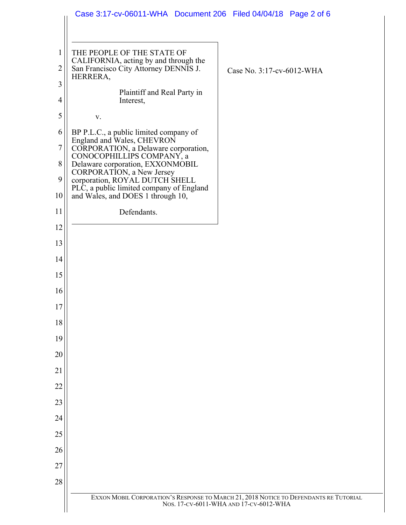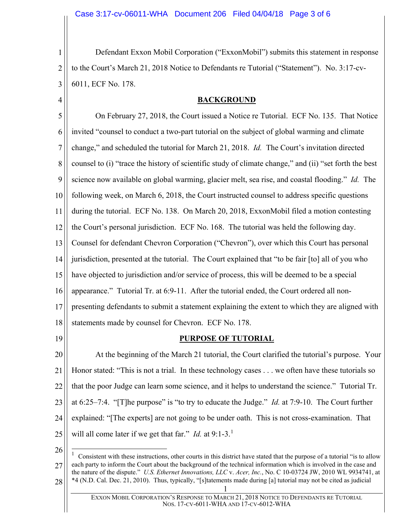1 2 3 Defendant Exxon Mobil Corporation ("ExxonMobil") submits this statement in response to the Court's March 21, 2018 Notice to Defendants re Tutorial ("Statement"). No. 3:17-cv-6011, ECF No. 178.

## **BACKGROUND**

5 6 7 8 9 10 11 12 13 14 15 16 17 18 On February 27, 2018, the Court issued a Notice re Tutorial. ECF No. 135. That Notice invited "counsel to conduct a two-part tutorial on the subject of global warming and climate change," and scheduled the tutorial for March 21, 2018. *Id.* The Court's invitation directed counsel to (i) "trace the history of scientific study of climate change," and (ii) "set forth the best science now available on global warming, glacier melt, sea rise, and coastal flooding." *Id.* The following week, on March 6, 2018, the Court instructed counsel to address specific questions during the tutorial. ECF No. 138. On March 20, 2018, ExxonMobil filed a motion contesting the Court's personal jurisdiction. ECF No. 168. The tutorial was held the following day. Counsel for defendant Chevron Corporation ("Chevron"), over which this Court has personal jurisdiction, presented at the tutorial. The Court explained that "to be fair [to] all of you who have objected to jurisdiction and/or service of process, this will be deemed to be a special appearance." Tutorial Tr. at 6:9-11. After the tutorial ended, the Court ordered all nonpresenting defendants to submit a statement explaining the extent to which they are aligned with statements made by counsel for Chevron. ECF No. 178.

19

4

## **PURPOSE OF TUTORIAL**

20 21 22 23 24 25 At the beginning of the March 21 tutorial, the Court clarified the tutorial's purpose. Your Honor stated: "This is not a trial. In these technology cases . . . we often have these tutorials so that the poor Judge can learn some science, and it helps to understand the science." Tutorial Tr. at 6:25–7:4. "[T]he purpose" is "to try to educate the Judge." *Id.* at 7:9-10. The Court further explained: "[The experts] are not going to be under oath. This is not cross-examination. That will all come later if we get that far." *Id.* at 9:[1](#page-2-0)-3.<sup>1</sup>

<span id="page-2-0"></span><sup>26</sup> 27 28  $\frac{1}{1}$  Consistent with these instructions, other courts in this district have stated that the purpose of a tutorial "is to allow each party to inform the Court about the background of the technical information which is involved in the case and the nature of the dispute." *U.S. Ethernet Innovations, LLC* v. *Acer, Inc.*, No. C 10-03724 JW, 2010 WL 9934741, at \*4 (N.D. Cal. Dec. 21, 2010). Thus, typically, "[s]tatements made during [a] tutorial may not be cited as judicial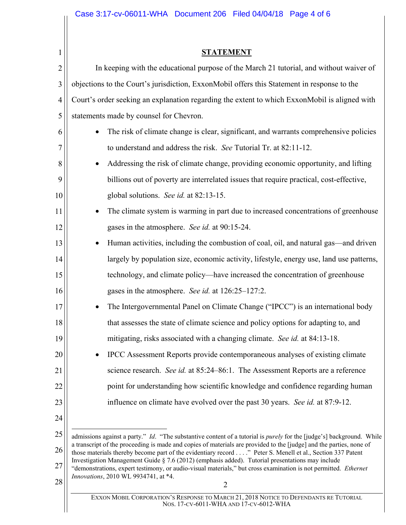| 1              | <b>STATEMENT</b>                                                                                                                                                                                                                                                                                                                                                        |  |  |  |  |
|----------------|-------------------------------------------------------------------------------------------------------------------------------------------------------------------------------------------------------------------------------------------------------------------------------------------------------------------------------------------------------------------------|--|--|--|--|
| $\overline{2}$ | In keeping with the educational purpose of the March 21 tutorial, and without waiver of                                                                                                                                                                                                                                                                                 |  |  |  |  |
| 3              | objections to the Court's jurisdiction, ExxonMobil offers this Statement in response to the                                                                                                                                                                                                                                                                             |  |  |  |  |
| $\overline{4}$ | Court's order seeking an explanation regarding the extent to which ExxonMobil is aligned with                                                                                                                                                                                                                                                                           |  |  |  |  |
| 5              | statements made by counsel for Chevron.                                                                                                                                                                                                                                                                                                                                 |  |  |  |  |
| 6              | The risk of climate change is clear, significant, and warrants comprehensive policies<br>$\bullet$                                                                                                                                                                                                                                                                      |  |  |  |  |
| 7              | to understand and address the risk. See Tutorial Tr. at 82:11-12.                                                                                                                                                                                                                                                                                                       |  |  |  |  |
| 8              | Addressing the risk of climate change, providing economic opportunity, and lifting<br>$\bullet$                                                                                                                                                                                                                                                                         |  |  |  |  |
| 9              | billions out of poverty are interrelated issues that require practical, cost-effective,                                                                                                                                                                                                                                                                                 |  |  |  |  |
| 10             | global solutions. See id. at 82:13-15.                                                                                                                                                                                                                                                                                                                                  |  |  |  |  |
| 11             | The climate system is warming in part due to increased concentrations of greenhouse<br>$\bullet$                                                                                                                                                                                                                                                                        |  |  |  |  |
| 12             | gases in the atmosphere. See id. at 90:15-24.                                                                                                                                                                                                                                                                                                                           |  |  |  |  |
| 13             | Human activities, including the combustion of coal, oil, and natural gas—and driven<br>$\bullet$                                                                                                                                                                                                                                                                        |  |  |  |  |
| 14             | largely by population size, economic activity, lifestyle, energy use, land use patterns,                                                                                                                                                                                                                                                                                |  |  |  |  |
| 15             | technology, and climate policy—have increased the concentration of greenhouse                                                                                                                                                                                                                                                                                           |  |  |  |  |
| 16             | gases in the atmosphere. See id. at 126:25–127:2.                                                                                                                                                                                                                                                                                                                       |  |  |  |  |
| 17             | The Intergovernmental Panel on Climate Change ("IPCC") is an international body<br>$\bullet$                                                                                                                                                                                                                                                                            |  |  |  |  |
| 18             | that assesses the state of climate science and policy options for adapting to, and                                                                                                                                                                                                                                                                                      |  |  |  |  |
| 19             | mitigating, risks associated with a changing climate. See id. at 84:13-18.                                                                                                                                                                                                                                                                                              |  |  |  |  |
| 20             | IPCC Assessment Reports provide contemporaneous analyses of existing climate                                                                                                                                                                                                                                                                                            |  |  |  |  |
| 21             | science research. See id. at 85:24–86:1. The Assessment Reports are a reference                                                                                                                                                                                                                                                                                         |  |  |  |  |
| 22             | point for understanding how scientific knowledge and confidence regarding human                                                                                                                                                                                                                                                                                         |  |  |  |  |
| 23             | influence on climate have evolved over the past 30 years. See id. at 87:9-12.                                                                                                                                                                                                                                                                                           |  |  |  |  |
| 24             |                                                                                                                                                                                                                                                                                                                                                                         |  |  |  |  |
| 25             | admissions against a party." <i>Id.</i> "The substantive content of a tutorial is <i>purely</i> for the [judge's] background. While<br>a transcript of the proceeding is made and copies of materials are provided to the [judge] and the parties, none of<br>those materials thereby become part of the evidentiary record" Peter S. Menell et al., Section 337 Patent |  |  |  |  |
| 26             |                                                                                                                                                                                                                                                                                                                                                                         |  |  |  |  |
| 27             | Investigation Management Guide § 7.6 (2012) (emphasis added). Tutorial presentations may include<br>"demonstrations, expert testimony, or audio-visual materials," but cross examination is not permitted. Ethernet<br>Innovations, 2010 WL 9934741, at *4.<br>$\overline{2}$                                                                                           |  |  |  |  |
| 28             |                                                                                                                                                                                                                                                                                                                                                                         |  |  |  |  |
|                |                                                                                                                                                                                                                                                                                                                                                                         |  |  |  |  |

EXXON MOBIL CORPORATION'S RESPONSE TO MARCH 21, 2018 NOTICE TO DEFENDANTS RE TUTORIAL NOS. 17-CV-6011-WHA AND 17-CV-6012-WHA

 $\mathbf{\mathsf{I}}$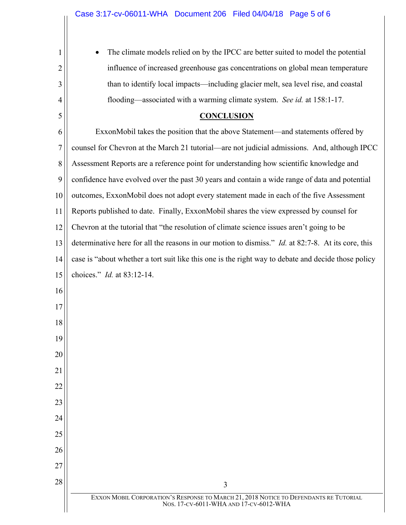1

2

3

4

5

The climate models relied on by the IPCC are better suited to model the potential influence of increased greenhouse gas concentrations on global mean temperature than to identify local impacts—including glacier melt, sea level rise, and coastal flooding—associated with a warming climate system. *See id.* at 158:1-17.

## **CONCLUSION**

6 7 8 9 10 11 12 13 14 15 16 17 18 19 20 21 22 23 24 25 26 27  $\begin{array}{c|c|c|c|c} \hline 28 & 3 \end{array}$ ExxonMobil takes the position that the above Statement—and statements offered by counsel for Chevron at the March 21 tutorial—are not judicial admissions. And, although IPCC Assessment Reports are a reference point for understanding how scientific knowledge and confidence have evolved over the past 30 years and contain a wide range of data and potential outcomes, ExxonMobil does not adopt every statement made in each of the five Assessment Reports published to date. Finally, ExxonMobil shares the view expressed by counsel for Chevron at the tutorial that "the resolution of climate science issues aren't going to be determinative here for all the reasons in our motion to dismiss." *Id.* at 82:7-8. At its core, this case is "about whether a tort suit like this one is the right way to debate and decide those policy choices." *Id.* at 83:12-14.